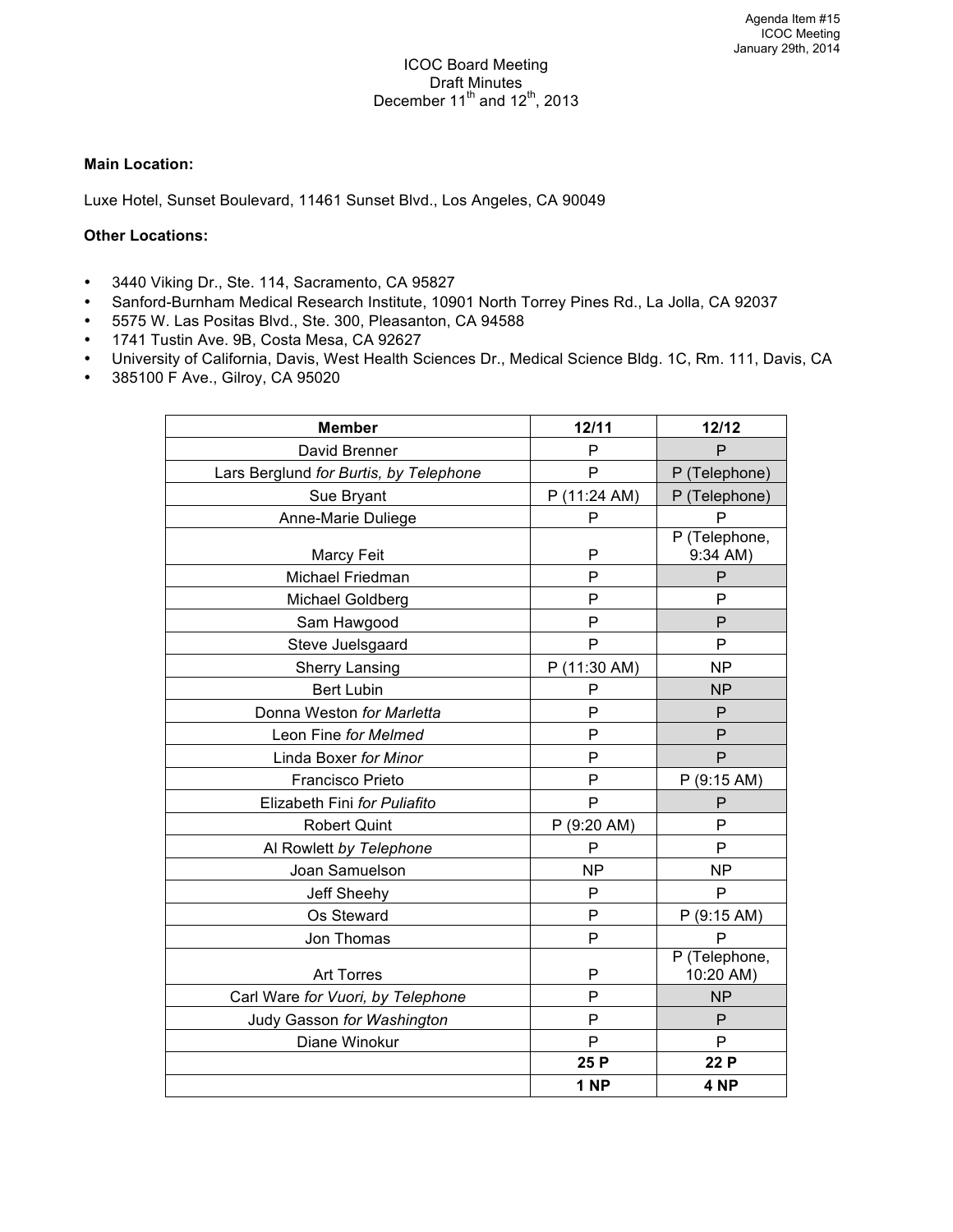#### **Main Location:**

Luxe Hotel, Sunset Boulevard, 11461 Sunset Blvd., Los Angeles, CA 90049

## **Other Locations:**

- 3440 Viking Dr., Ste. 114, Sacramento, CA 95827
- Sanford-Burnham Medical Research Institute, 10901 North Torrey Pines Rd., La Jolla, CA 92037
- 5575 W. Las Positas Blvd., Ste. 300, Pleasanton, CA 94588
- 1741 Tustin Ave. 9B, Costa Mesa, CA 92627
- University of California, Davis, West Health Sciences Dr., Medical Science Bldg. 1C, Rm. 111, Davis, CA
- 385100 F Ave., Gilroy, CA 95020

| <b>Member</b>                          | 12/11           | 12/12                      |
|----------------------------------------|-----------------|----------------------------|
| David Brenner                          | P               | P                          |
| Lars Berglund for Burtis, by Telephone | P               | P (Telephone)              |
| Sue Bryant                             | P (11:24 AM)    | P (Telephone)              |
| Anne-Marie Duliege                     | P               | P                          |
| <b>Marcy Feit</b>                      | P               | P (Telephone,<br>9:34 AM)  |
| <b>Michael Friedman</b>                | P               | P                          |
| Michael Goldberg                       | P               | P                          |
| Sam Hawgood                            | P               | P                          |
| Steve Juelsgaard                       | P               | P                          |
| <b>Sherry Lansing</b>                  | P (11:30 AM)    | <b>NP</b>                  |
| <b>Bert Lubin</b>                      | P               | <b>NP</b>                  |
| Donna Weston for Marletta              | P               | P                          |
| Leon Fine for Melmed                   | P               | P                          |
| Linda Boxer for Minor                  | P               | P                          |
| <b>Francisco Prieto</b>                | P               | P(9:15 AM)                 |
| Elizabeth Fini for Puliafito           | P               | P                          |
| <b>Robert Quint</b>                    | P (9:20 AM)     | P                          |
| Al Rowlett by Telephone                | P               | P                          |
| Joan Samuelson                         | <b>NP</b>       | <b>NP</b>                  |
| Jeff Sheehy                            | P               | P                          |
| Os Steward                             | P               | P(9:15 AM)                 |
| Jon Thomas                             | P               | P                          |
| <b>Art Torres</b>                      | P               | P (Telephone,<br>10:20 AM) |
| Carl Ware for Vuori, by Telephone      | P               | <b>NP</b>                  |
| Judy Gasson for Washington             | P               | P                          |
| Diane Winokur                          | P               | P                          |
|                                        | 25 P            | 22 P                       |
|                                        | 1 <sub>NP</sub> | 4 <sub>NP</sub>            |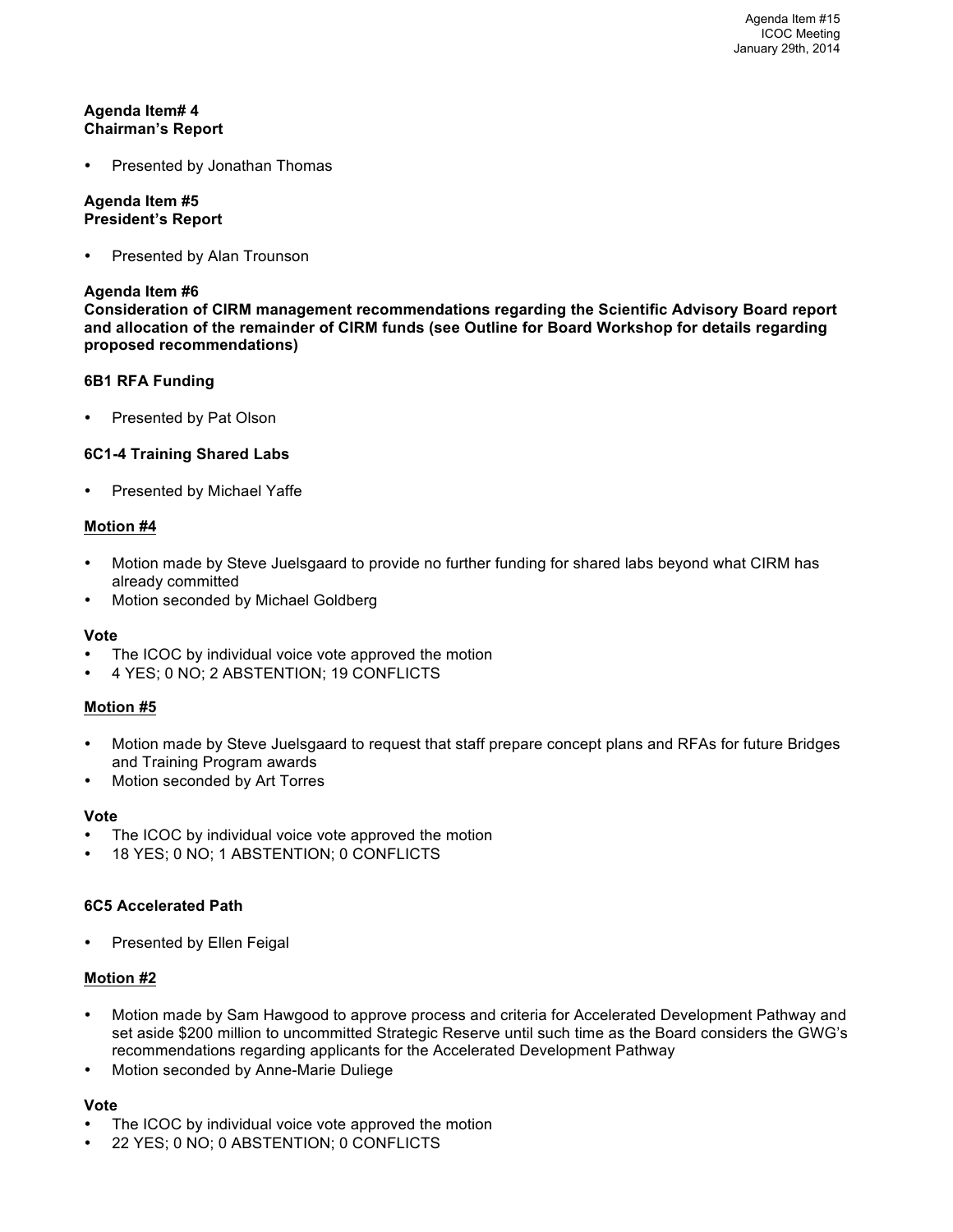## **Agenda Item# 4 Chairman's Report**

• Presented by Jonathan Thomas

#### **Agenda Item #5 President's Report**

Presented by Alan Trounson

#### **Agenda Item #6**

**Consideration of CIRM management recommendations regarding the Scientific Advisory Board report and allocation of the remainder of CIRM funds (see Outline for Board Workshop for details regarding proposed recommendations)**

## **6B1 RFA Funding**

Presented by Pat Olson

## **6C1-4 Training Shared Labs**

Presented by Michael Yaffe

## **Motion #4**

- Motion made by Steve Juelsgaard to provide no further funding for shared labs beyond what CIRM has already committed
- Motion seconded by Michael Goldberg

#### **Vote**

- The ICOC by individual voice vote approved the motion
- 4 YES; 0 NO; 2 ABSTENTION; 19 CONFLICTS

#### **Motion #5**

- Motion made by Steve Juelsgaard to request that staff prepare concept plans and RFAs for future Bridges and Training Program awards
- Motion seconded by Art Torres

#### **Vote**

- The ICOC by individual voice vote approved the motion
- 18 YES; 0 NO; 1 ABSTENTION; 0 CONFLICTS

#### **6C5 Accelerated Path**

• Presented by Ellen Feigal

#### **Motion #2**

- Motion made by Sam Hawgood to approve process and criteria for Accelerated Development Pathway and set aside \$200 million to uncommitted Strategic Reserve until such time as the Board considers the GWG's recommendations regarding applicants for the Accelerated Development Pathway
- Motion seconded by Anne-Marie Duliege

#### **Vote**

- The ICOC by individual voice vote approved the motion
- 22 YES; 0 NO; 0 ABSTENTION; 0 CONFLICTS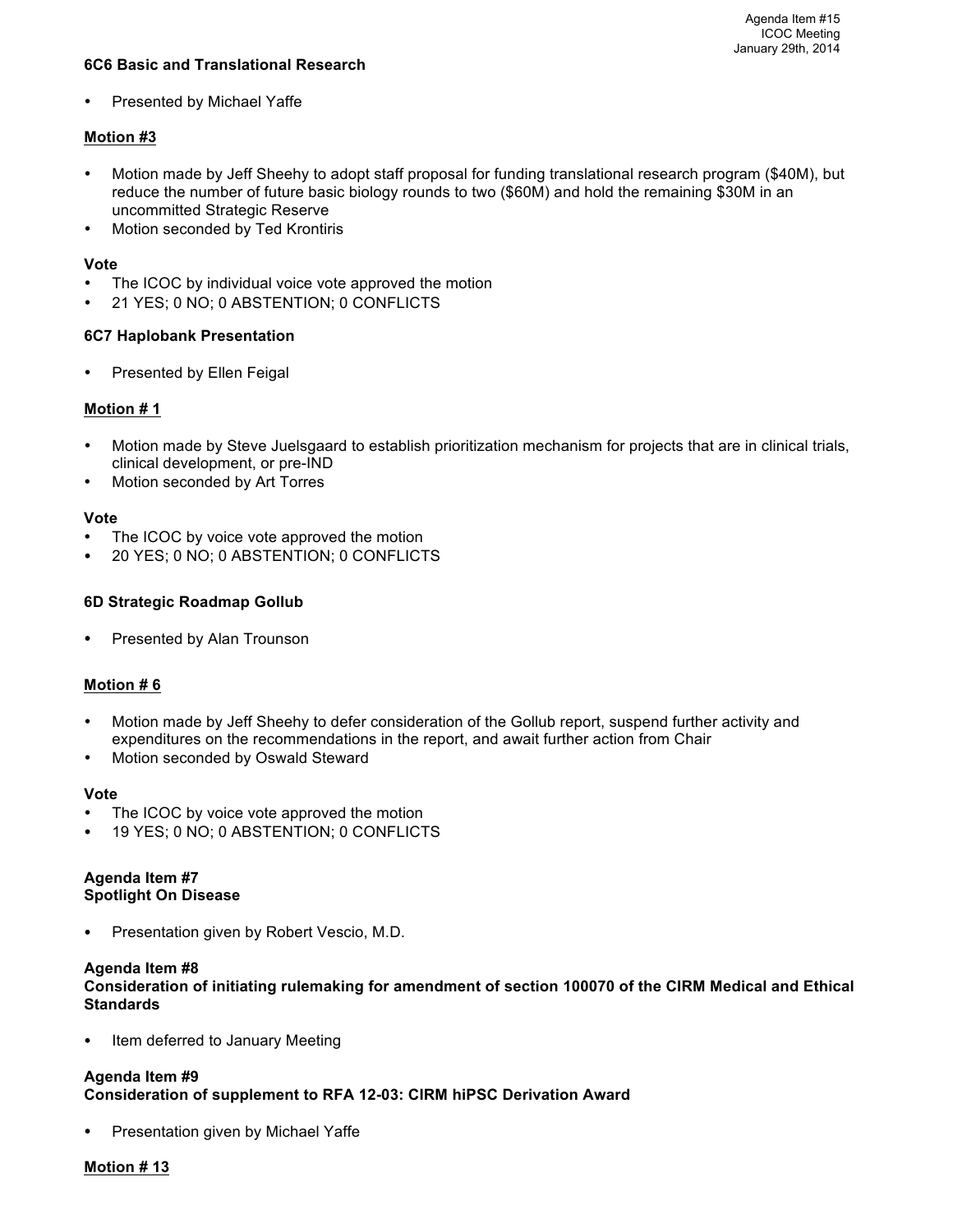## **6C6 Basic and Translational Research**

Presented by Michael Yaffe

# **Motion #3**

- Motion made by Jeff Sheehy to adopt staff proposal for funding translational research program (\$40M), but reduce the number of future basic biology rounds to two (\$60M) and hold the remaining \$30M in an uncommitted Strategic Reserve
- Motion seconded by Ted Krontiris

#### **Vote**

- The ICOC by individual voice vote approved the motion
- 21 YES; 0 NO; 0 ABSTENTION; 0 CONFLICTS

## **6C7 Haplobank Presentation**

• Presented by Ellen Feigal

## **Motion # 1**

- Motion made by Steve Juelsgaard to establish prioritization mechanism for projects that are in clinical trials, clinical development, or pre-IND
- Motion seconded by Art Torres

#### **Vote**

- The ICOC by voice vote approved the motion
- 20 YES; 0 NO; 0 ABSTENTION; 0 CONFLICTS

## **6D Strategic Roadmap Gollub**

• Presented by Alan Trounson

#### **Motion # 6**

- Motion made by Jeff Sheehy to defer consideration of the Gollub report, suspend further activity and expenditures on the recommendations in the report, and await further action from Chair
- Motion seconded by Oswald Steward

#### **Vote**

- The ICOC by voice vote approved the motion
- 19 YES; 0 NO; 0 ABSTENTION; 0 CONFLICTS

#### **Agenda Item #7 Spotlight On Disease**

• Presentation given by Robert Vescio, M.D.

#### **Agenda Item #8**

**Consideration of initiating rulemaking for amendment of section 100070 of the CIRM Medical and Ethical Standards**

Item deferred to January Meeting

#### **Agenda Item #9**

**Consideration of supplement to RFA 12-03: CIRM hiPSC Derivation Award**

Presentation given by Michael Yaffe

#### **Motion # 13**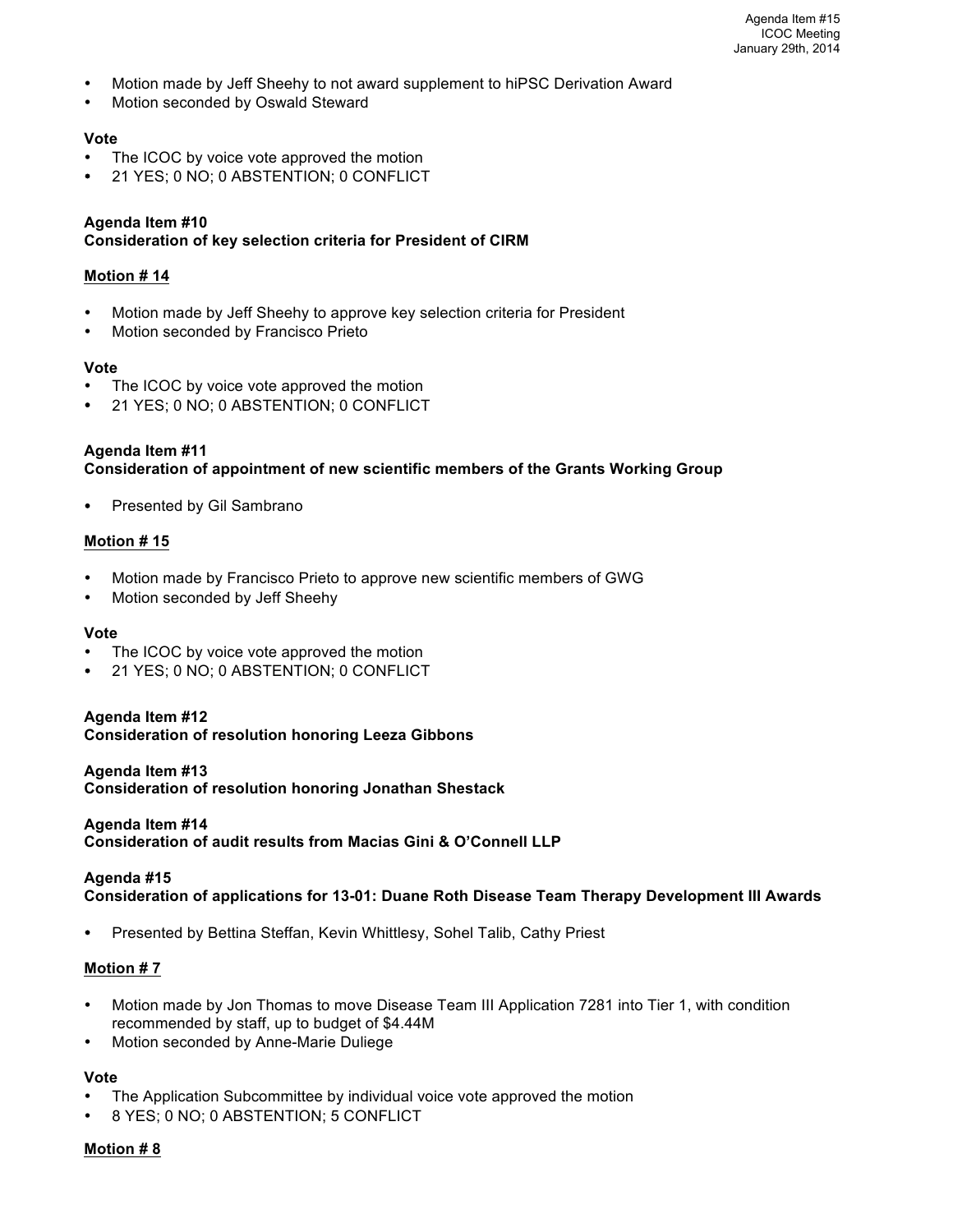- Motion made by Jeff Sheehy to not award supplement to hiPSC Derivation Award
- Motion seconded by Oswald Steward

#### **Vote**

- The ICOC by voice vote approved the motion
- 21 YES; 0 NO; 0 ABSTENTION; 0 CONFLICT

#### **Agenda Item #10**

#### **Consideration of key selection criteria for President of CIRM**

#### **Motion # 14**

- Motion made by Jeff Sheehy to approve key selection criteria for President
- Motion seconded by Francisco Prieto

#### **Vote**

- The ICOC by voice vote approved the motion
- 21 YES; 0 NO; 0 ABSTENTION; 0 CONFLICT

# **Agenda Item #11 Consideration of appointment of new scientific members of the Grants Working Group**

Presented by Gil Sambrano

#### **Motion # 15**

- Motion made by Francisco Prieto to approve new scientific members of GWG
- Motion seconded by Jeff Sheehy

#### **Vote**

- The ICOC by voice vote approved the motion
- 21 YES; 0 NO; 0 ABSTENTION; 0 CONFLICT

# **Agenda Item #12**

**Consideration of resolution honoring Leeza Gibbons**

#### **Agenda Item #13**

**Consideration of resolution honoring Jonathan Shestack**

#### **Agenda Item #14**

**Consideration of audit results from Macias Gini & O'Connell LLP**

#### **Agenda #15**

**Consideration of applications for 13-01: Duane Roth Disease Team Therapy Development III Awards**

• Presented by Bettina Steffan, Kevin Whittlesy, Sohel Talib, Cathy Priest

#### **Motion # 7**

- Motion made by Jon Thomas to move Disease Team III Application 7281 into Tier 1, with condition recommended by staff, up to budget of \$4.44M
- Motion seconded by Anne-Marie Duliege

# **Vote**

- The Application Subcommittee by individual voice vote approved the motion
- 8 YES; 0 NO; 0 ABSTENTION; 5 CONFLICT

# **Motion # 8**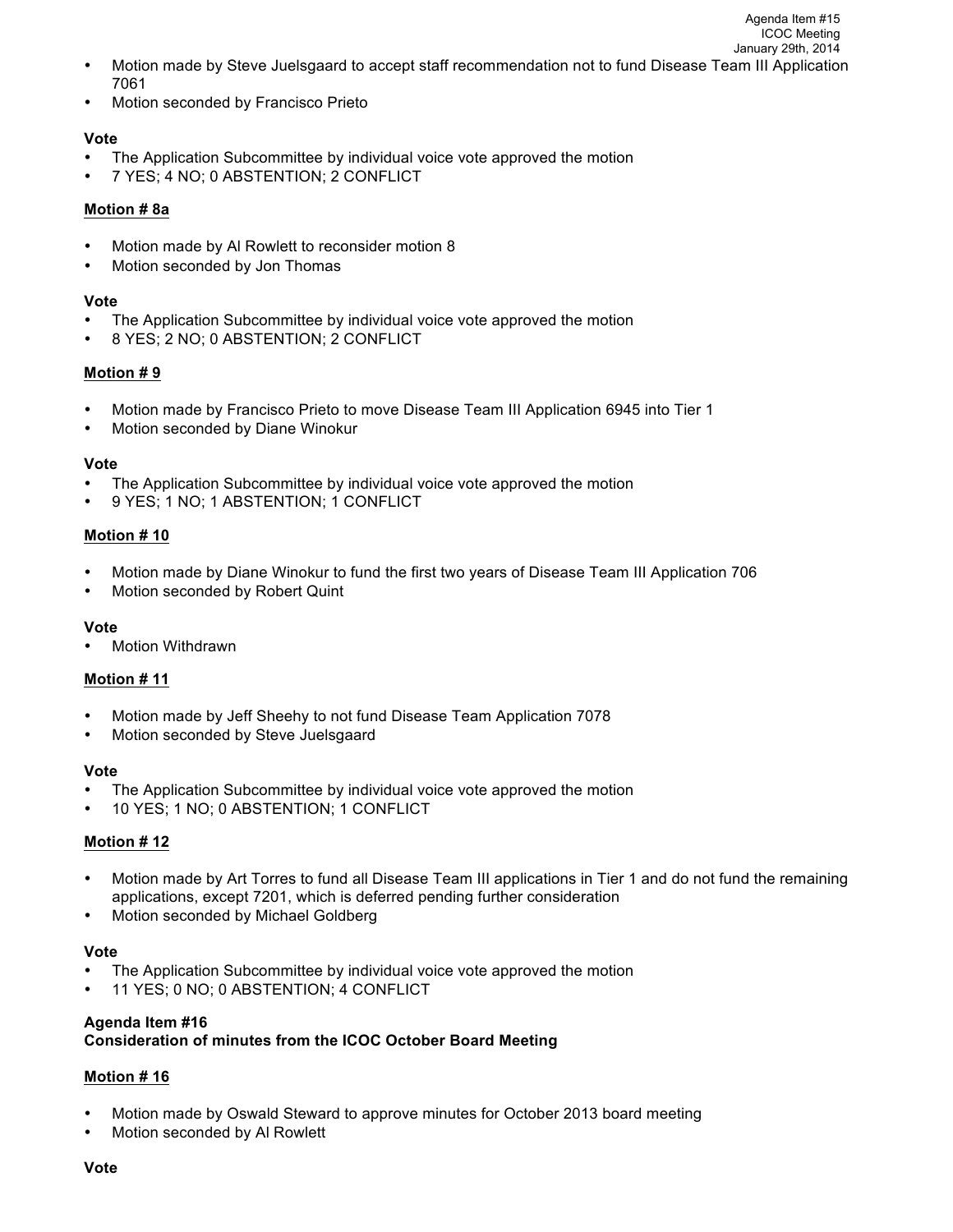• Motion seconded by Francisco Prieto

## **Vote**

- The Application Subcommittee by individual voice vote approved the motion
- 7 YES; 4 NO; 0 ABSTENTION; 2 CONFLICT

## **Motion # 8a**

- Motion made by Al Rowlett to reconsider motion 8
- Motion seconded by Jon Thomas

## **Vote**

- The Application Subcommittee by individual voice vote approved the motion
- 8 YES; 2 NO; 0 ABSTENTION; 2 CONFLICT

# **Motion # 9**

- Motion made by Francisco Prieto to move Disease Team III Application 6945 into Tier 1
- Motion seconded by Diane Winokur

#### **Vote**

- The Application Subcommittee by individual voice vote approved the motion
- 9 YES; 1 NO; 1 ABSTENTION; 1 CONFLICT

# **Motion # 10**

- Motion made by Diane Winokur to fund the first two years of Disease Team III Application 706
- Motion seconded by Robert Quint

#### **Vote**

• Motion Withdrawn

# **Motion # 11**

- Motion made by Jeff Sheehy to not fund Disease Team Application 7078
- Motion seconded by Steve Juelsgaard

#### **Vote**

- The Application Subcommittee by individual voice vote approved the motion
- 10 YES; 1 NO; 0 ABSTENTION; 1 CONFLICT

# **Motion # 12**

- Motion made by Art Torres to fund all Disease Team III applications in Tier 1 and do not fund the remaining applications, except 7201, which is deferred pending further consideration
- Motion seconded by Michael Goldberg

#### **Vote**

- The Application Subcommittee by individual voice vote approved the motion
- 11 YES; 0 NO; 0 ABSTENTION; 4 CONFLICT

#### **Agenda Item #16**

# **Consideration of minutes from the ICOC October Board Meeting**

# **Motion # 16**

- Motion made by Oswald Steward to approve minutes for October 2013 board meeting
- Motion seconded by Al Rowlett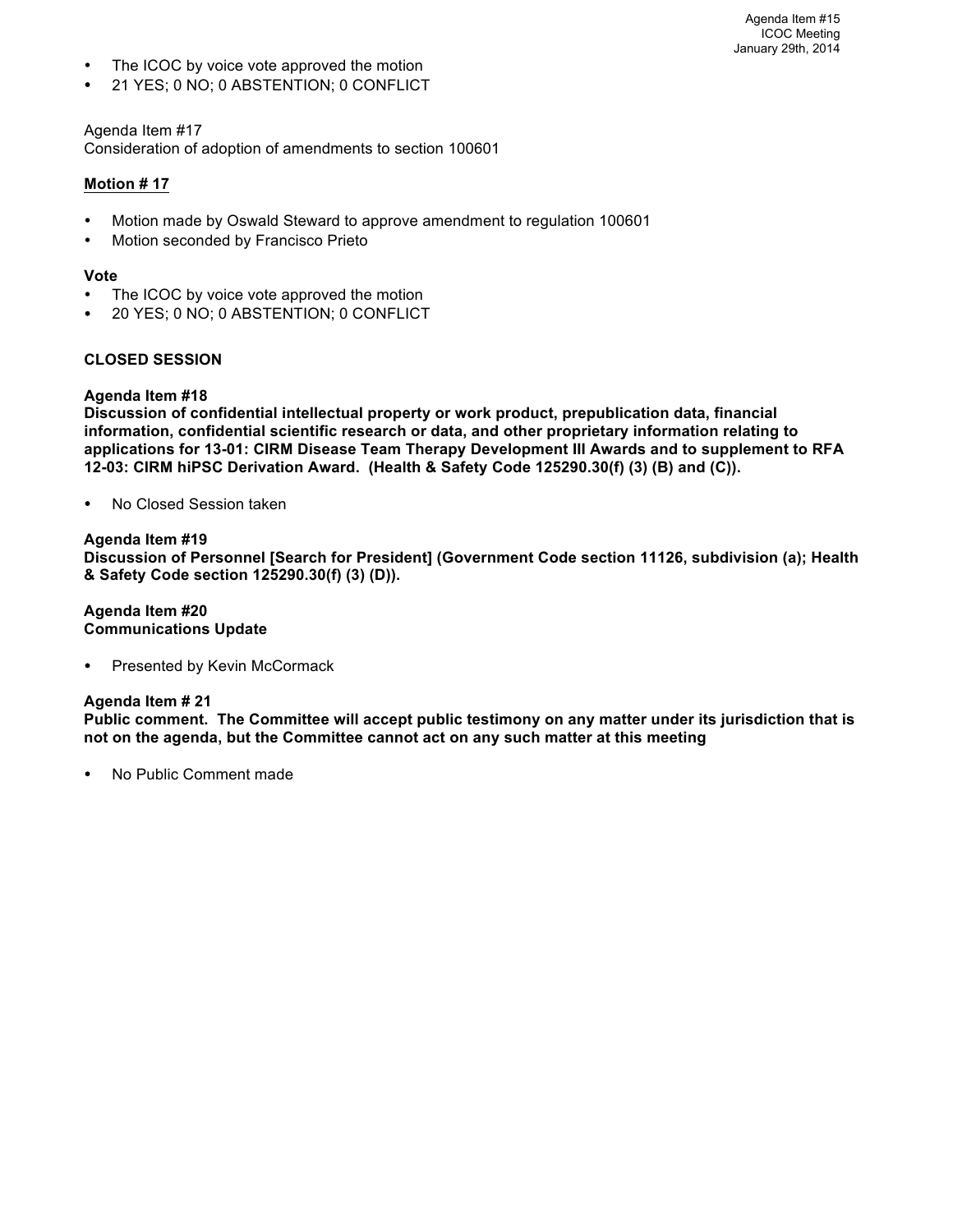- The ICOC by voice vote approved the motion
- 21 YES; 0 NO; 0 ABSTENTION; 0 CONFLICT

## Agenda Item #17

Consideration of adoption of amendments to section 100601

## **Motion # 17**

- Motion made by Oswald Steward to approve amendment to regulation 100601
- Motion seconded by Francisco Prieto

#### **Vote**

- The ICOC by voice vote approved the motion
- 20 YES; 0 NO; 0 ABSTENTION; 0 CONFLICT

## **CLOSED SESSION**

## **Agenda Item #18**

**Discussion of confidential intellectual property or work product, prepublication data, financial information, confidential scientific research or data, and other proprietary information relating to applications for 13-01: CIRM Disease Team Therapy Development III Awards and to supplement to RFA 12-03: CIRM hiPSC Derivation Award. (Health & Safety Code 125290.30(f) (3) (B) and (C)).**

• No Closed Session taken

## **Agenda Item #19**

**Discussion of Personnel [Search for President] (Government Code section 11126, subdivision (a); Health & Safety Code section 125290.30(f) (3) (D)).**

#### **Agenda Item #20 Communications Update**

Presented by Kevin McCormack

#### **Agenda Item # 21**

**Public comment. The Committee will accept public testimony on any matter under its jurisdiction that is not on the agenda, but the Committee cannot act on any such matter at this meeting**

• No Public Comment made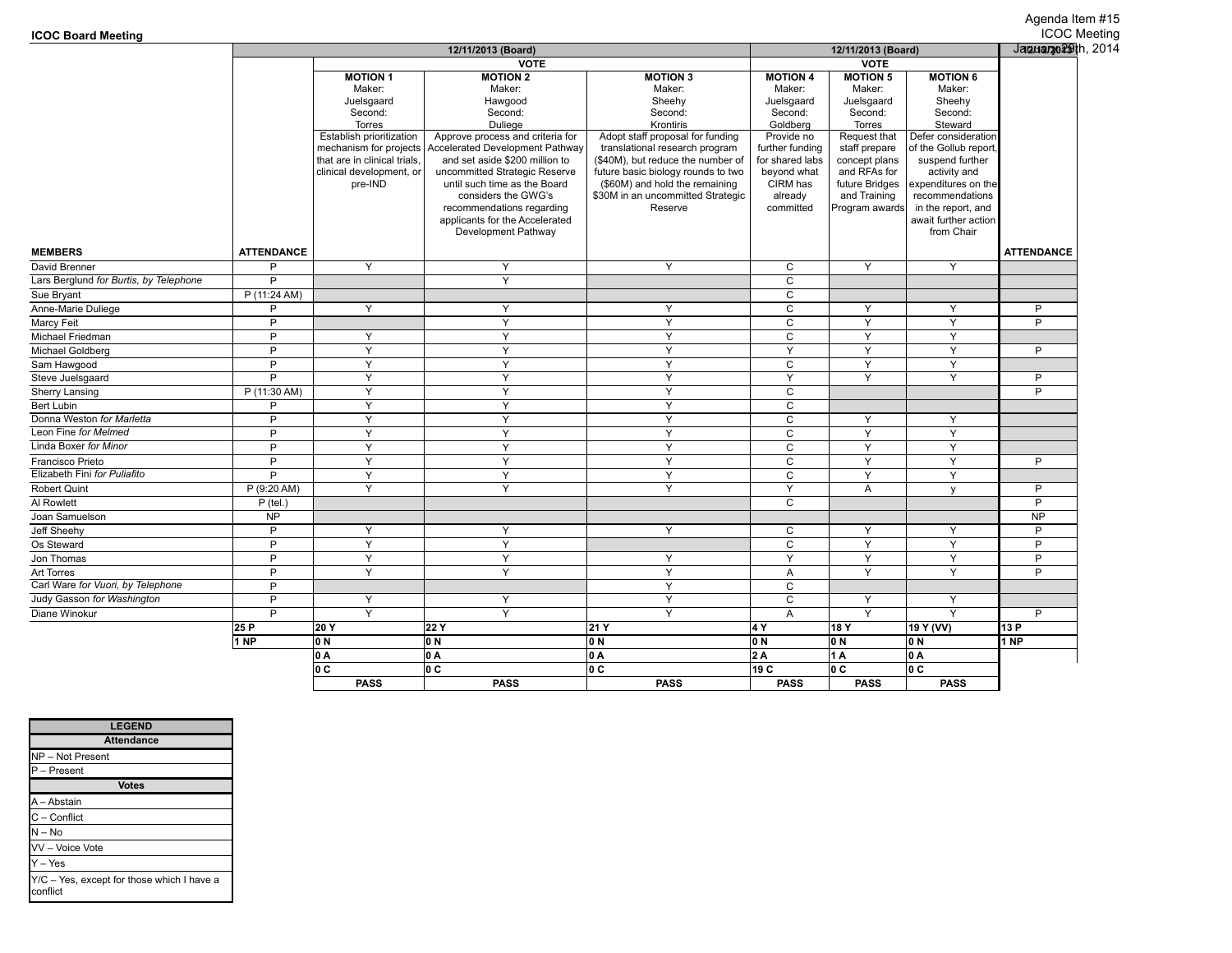|                                        |                   | 12/11/2013 (Board)                 |                                                       |                                               |                         | 12/11/2013 (Board)     |                                    |                   |  |
|----------------------------------------|-------------------|------------------------------------|-------------------------------------------------------|-----------------------------------------------|-------------------------|------------------------|------------------------------------|-------------------|--|
|                                        |                   | <b>VOTE</b>                        |                                                       |                                               |                         |                        |                                    |                   |  |
|                                        |                   | <b>MOTION 1</b>                    | <b>MOTION 2</b>                                       | <b>MOTION 3</b>                               | <b>MOTION 4</b>         | <b>MOTION 5</b>        | <b>MOTION 6</b>                    |                   |  |
|                                        |                   | Maker:                             | Maker:                                                | Maker:                                        | Maker:                  | Maker:                 | Maker:                             |                   |  |
|                                        |                   | Juelsgaard                         | Hawgood                                               | Sheehy                                        | Juelsgaard              | Juelsgaard             | Sheehy                             |                   |  |
|                                        |                   | Second:                            | Second:                                               | Second:                                       | Second:                 | Second:                | Second:                            |                   |  |
|                                        |                   | Torres<br>Establish prioritization | Duliege<br>Approve process and criteria for           | Krontiris<br>Adopt staff proposal for funding | Goldberg<br>Provide no  | Torres<br>Request that | Steward<br>Defer consideration     |                   |  |
|                                        |                   | mechanism for projects             | <b>Accelerated Development Pathway</b>                | translational research program                | further funding         | staff prepare          | of the Gollub report               |                   |  |
|                                        |                   | that are in clinical trials.       | and set aside \$200 million to                        | (\$40M), but reduce the number of             | for shared labs         | concept plans          | suspend further                    |                   |  |
|                                        |                   | clinical development, or           | uncommitted Strategic Reserve                         | future basic biology rounds to two            | beyond what             | and RFAs for           | activity and                       |                   |  |
|                                        |                   | pre-IND                            | until such time as the Board                          | (\$60M) and hold the remaining                | CIRM has                | future Bridges         | expenditures on the                |                   |  |
|                                        |                   |                                    | considers the GWG's                                   | \$30M in an uncommitted Strategic             | already                 | and Training           | recommendations                    |                   |  |
|                                        |                   |                                    | recommendations regarding                             | Reserve                                       | committed               | Program awards         | in the report, and                 |                   |  |
|                                        |                   |                                    | applicants for the Accelerated<br>Development Pathway |                                               |                         |                        | await further action<br>from Chair |                   |  |
|                                        |                   |                                    |                                                       |                                               |                         |                        |                                    |                   |  |
| <b>MEMBERS</b>                         | <b>ATTENDANCE</b> |                                    |                                                       |                                               |                         |                        |                                    | <b>ATTENDANCE</b> |  |
| David Brenner                          | P                 | Y                                  | Y                                                     | Y                                             | C                       | Y                      | Y                                  |                   |  |
| Lars Berglund for Burtis, by Telephone | P                 |                                    | Y                                                     |                                               | $\mathsf{C}$            |                        |                                    |                   |  |
| Sue Bryant                             | P (11:24 AM)      |                                    |                                                       |                                               | $\overline{c}$          |                        |                                    |                   |  |
| Anne-Marie Duliege                     | P                 | Y                                  | Y                                                     | Y                                             | C                       | Y                      | Y                                  | P                 |  |
| Marcy Feit                             | P                 |                                    | Y                                                     | Y                                             | $\mathsf C$             | Y                      | Y                                  | P                 |  |
| Michael Friedman                       | $\overline{P}$    | Y                                  | $\overline{Y}$                                        | $\overline{Y}$                                | $\overline{c}$          | $\overline{Y}$         | $\overline{Y}$                     |                   |  |
| Michael Goldberg                       | P                 | Y                                  | Y                                                     | Y                                             | Y                       | Y                      | Y                                  | P                 |  |
| Sam Hawgood                            | P                 | Y                                  | Y                                                     | Y                                             | C                       | Y                      | Y                                  |                   |  |
| Steve Juelsgaard                       | P                 | Y                                  | Y                                                     | Y                                             | Y                       | Y                      | Y                                  | P                 |  |
| Sherry Lansing                         | P (11:30 AM)      | Y                                  | Y                                                     | Y                                             | C                       |                        |                                    | P                 |  |
| Bert Lubin                             | Þ                 | $\overline{Y}$                     | $\overline{Y}$                                        | Y                                             | $\overline{c}$          |                        |                                    |                   |  |
| Donna Weston for Marletta              | P                 | Y                                  | $\overline{Y}$                                        | Y                                             | $\mathtt{C}$            | Y                      | Y                                  |                   |  |
| Leon Fine for Melmed                   | Þ                 | Y                                  | Y                                                     | Y                                             | $\mathsf C$             | Y                      | Y                                  |                   |  |
| Linda Boxer for Minor                  | P                 | Y                                  | Y                                                     | Y                                             | $\mathbf C$             | Y                      | Y                                  |                   |  |
| Francisco Prieto                       | P                 | Y                                  | Y                                                     | Y                                             | $\mathsf{C}$            | Y                      | Y                                  | P                 |  |
| Elizabeth Fini for Puliafito           | P                 | Y                                  | $\mathsf{Y}$                                          | Y                                             | $\mathbf C$             | Y                      | Y                                  |                   |  |
| Robert Quint                           | P (9:20 AM)       | Y                                  | Y                                                     | Y                                             | Y                       | Α                      | $\mathsf{V}$                       | P                 |  |
| Al Rowlett                             | $P$ (tel.)        |                                    |                                                       |                                               | $\mathsf{C}$            |                        |                                    | $\overline{P}$    |  |
| Joan Samuelson                         | <b>NP</b>         |                                    |                                                       |                                               |                         |                        |                                    | <b>NP</b>         |  |
| Jeff Sheehy                            | P                 | Y                                  | Y                                                     | Y                                             | C                       | Y                      | Y                                  | P                 |  |
| Os Steward                             | D                 | Y                                  | Y                                                     |                                               | $\mathsf{C}$            | Y                      | Y                                  | P                 |  |
| Jon Thomas                             | P                 | Y                                  | $\overline{Y}$                                        | Y                                             | $\overline{\mathsf{Y}}$ | $\overline{Y}$         | Y                                  | $\overline{P}$    |  |
| Art Torres                             | P                 | Y                                  | Y                                                     | Y                                             | $\overline{A}$          | Y                      | Y                                  | $\overline{P}$    |  |
| Carl Ware for Vuori, by Telephone      | P                 |                                    |                                                       | Y                                             | $\mathbf C$             |                        |                                    |                   |  |
| Judy Gasson for Washington             | P                 | Y                                  | Y                                                     | Y                                             | $\mathbf C$             | Y                      | Y                                  |                   |  |
| Diane Winokur                          | P                 | Y                                  | Y                                                     | Y                                             | $\mathsf{A}$            | Y                      | Y                                  | $\overline{P}$    |  |
|                                        | 25 P              | 20 Y                               | 22 Y                                                  | 21 Y                                          | 4 Y                     | 18 Y                   | 19 Y (VV)                          | 13 P              |  |
|                                        | 1 <sub>NP</sub>   | 0 N                                | 0 N                                                   | 0 N                                           | 0 N                     | 0 N                    | 0N                                 | 1 NP              |  |
|                                        |                   | lo A                               | 0 A                                                   | 0 A                                           | 2 A                     | 1A                     |                                    |                   |  |
|                                        |                   | lo c                               | lo c                                                  | 0 C                                           | 19 C                    | lo c                   | lo A<br>lo c                       |                   |  |
|                                        |                   | <b>PASS</b>                        | <b>PASS</b>                                           | <b>PASS</b>                                   | <b>PASS</b>             | <b>PASS</b>            | <b>PASS</b>                        |                   |  |
|                                        |                   |                                    |                                                       |                                               |                         |                        |                                    |                   |  |

| <b>LEGEND</b>                                          |
|--------------------------------------------------------|
| <b>Attendance</b>                                      |
| NP-Not Present                                         |
| P - Present                                            |
| <b>Votes</b>                                           |
| A - Abstain                                            |
| C - Conflict                                           |
| $N - No$                                               |
| VV - Voice Vote                                        |
| Y - Yes                                                |
| Y/C - Yes, except for those which I have a<br>conflict |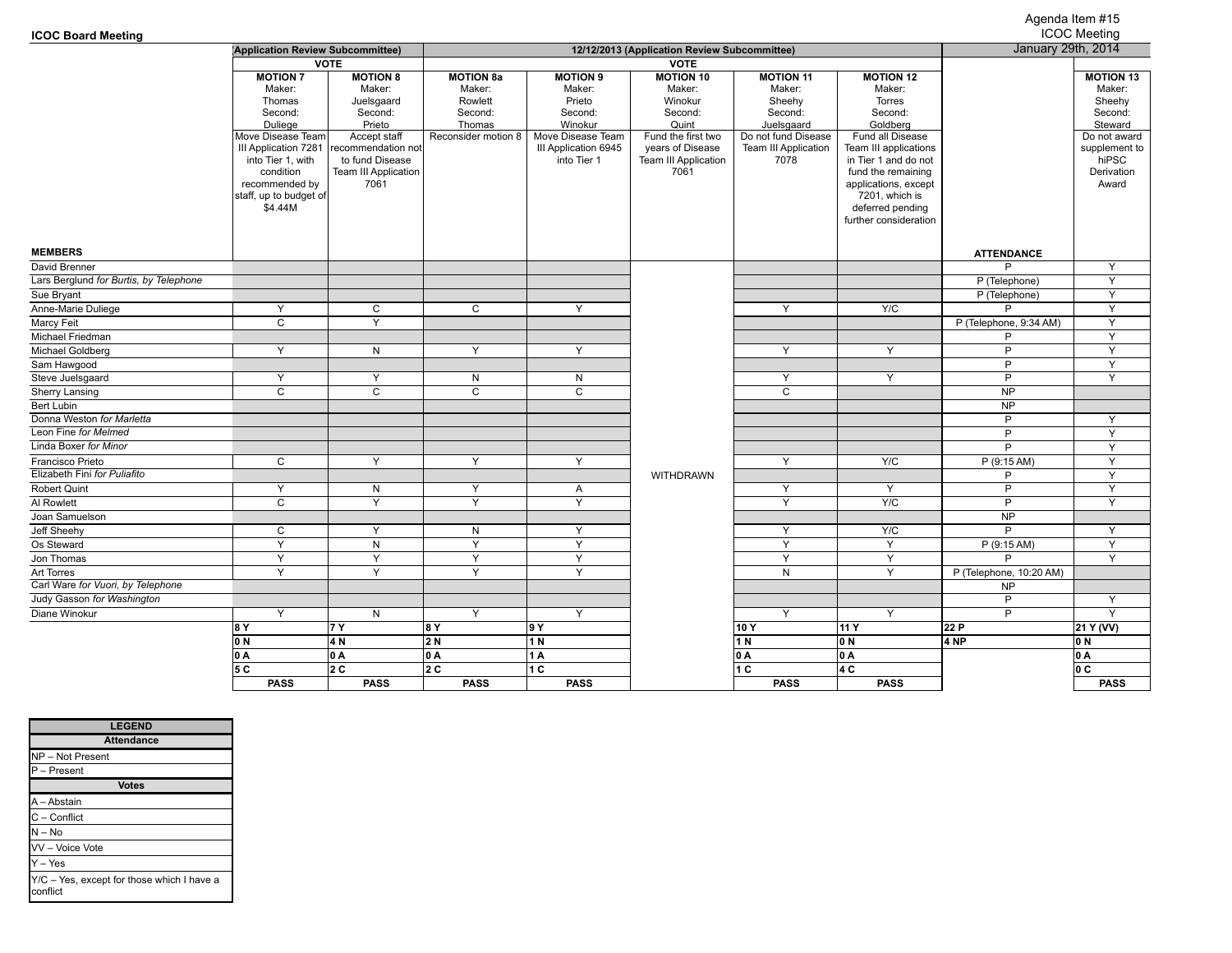#### **ICOC Board Meeting**

# Agenda Item #15

| <b>ICOC Board Meeting</b>              |                                                                                                                                                                                                 |                                                                                                                                                              |                                                                                   |                                                                                                                       |                                                                                                                                            |                                                                                                                             |                                                                                                                                                                                                                                               |                         | <b>ICOC Meeting</b>                                                                                                         |
|----------------------------------------|-------------------------------------------------------------------------------------------------------------------------------------------------------------------------------------------------|--------------------------------------------------------------------------------------------------------------------------------------------------------------|-----------------------------------------------------------------------------------|-----------------------------------------------------------------------------------------------------------------------|--------------------------------------------------------------------------------------------------------------------------------------------|-----------------------------------------------------------------------------------------------------------------------------|-----------------------------------------------------------------------------------------------------------------------------------------------------------------------------------------------------------------------------------------------|-------------------------|-----------------------------------------------------------------------------------------------------------------------------|
|                                        | (Application Review Subcommittee)                                                                                                                                                               |                                                                                                                                                              | 12/12/2013 (Application Review Subcommittee)                                      |                                                                                                                       |                                                                                                                                            |                                                                                                                             |                                                                                                                                                                                                                                               | January 29th, 2014      |                                                                                                                             |
|                                        |                                                                                                                                                                                                 | <b>VOTE</b>                                                                                                                                                  |                                                                                   |                                                                                                                       | <b>VOTE</b>                                                                                                                                |                                                                                                                             |                                                                                                                                                                                                                                               |                         |                                                                                                                             |
|                                        | <b>MOTION 7</b><br>Maker:<br>Thomas<br>Second:<br>Duliege<br>Move Disease Team<br>III Application 7281<br>into Tier 1, with<br>condition<br>recommended by<br>staff, up to budget of<br>\$4.44M | <b>MOTION 8</b><br>Maker:<br>Juelsgaard<br>Second:<br>Prieto<br>Accept staff<br>recommendation not<br>to fund Disease<br><b>Team III Application</b><br>7061 | <b>MOTION 8a</b><br>Maker:<br>Rowlett<br>Second:<br>Thomas<br>Reconsider motion 8 | <b>MOTION 9</b><br>Maker:<br>Prieto<br>Second:<br>Winokur<br>Move Disease Team<br>III Application 6945<br>into Tier 1 | <b>MOTION 10</b><br>Maker:<br>Winokur<br>Second:<br>Quint<br>Fund the first two<br>years of Disease<br><b>Team III Application</b><br>7061 | <b>MOTION 11</b><br>Maker:<br>Sheehy<br>Second:<br>Juelsgaard<br>Do not fund Disease<br><b>Team III Application</b><br>7078 | <b>MOTION 12</b><br>Maker:<br>Torres<br>Second:<br>Goldberg<br>Fund all Disease<br>Team III applications<br>in Tier 1 and do not<br>fund the remaining<br>applications, except<br>7201, which is<br>deferred pending<br>further consideration |                         | <b>MOTION 13</b><br>Maker:<br>Sheehy<br>Second:<br>Steward<br>Do not award<br>supplement to<br>hiPSC<br>Derivation<br>Award |
| <b>MEMBERS</b>                         |                                                                                                                                                                                                 |                                                                                                                                                              |                                                                                   |                                                                                                                       |                                                                                                                                            |                                                                                                                             |                                                                                                                                                                                                                                               | <b>ATTENDANCE</b>       |                                                                                                                             |
| David Brenner                          |                                                                                                                                                                                                 |                                                                                                                                                              |                                                                                   |                                                                                                                       |                                                                                                                                            |                                                                                                                             |                                                                                                                                                                                                                                               | P                       | Υ                                                                                                                           |
| Lars Berglund for Burtis, by Telephone |                                                                                                                                                                                                 |                                                                                                                                                              |                                                                                   |                                                                                                                       |                                                                                                                                            |                                                                                                                             |                                                                                                                                                                                                                                               | P (Telephone)           | $\overline{Y}$                                                                                                              |
| Sue Bryant                             |                                                                                                                                                                                                 |                                                                                                                                                              |                                                                                   |                                                                                                                       |                                                                                                                                            |                                                                                                                             |                                                                                                                                                                                                                                               | P (Telephone)           | Y                                                                                                                           |
| Anne-Marie Duliege                     | Y                                                                                                                                                                                               | C                                                                                                                                                            | C                                                                                 | Y                                                                                                                     |                                                                                                                                            | Y                                                                                                                           | Y/C                                                                                                                                                                                                                                           | P                       | Y                                                                                                                           |
| Marcy Feit                             | $\mathsf{C}$                                                                                                                                                                                    | Y                                                                                                                                                            |                                                                                   |                                                                                                                       |                                                                                                                                            |                                                                                                                             |                                                                                                                                                                                                                                               | P (Telephone, 9:34 AM)  | Y                                                                                                                           |
| Michael Friedman                       |                                                                                                                                                                                                 |                                                                                                                                                              |                                                                                   |                                                                                                                       |                                                                                                                                            |                                                                                                                             |                                                                                                                                                                                                                                               | P                       | Y                                                                                                                           |
| Michael Goldberg                       | Y                                                                                                                                                                                               | N                                                                                                                                                            | Y                                                                                 | Υ                                                                                                                     |                                                                                                                                            | Y                                                                                                                           | Y                                                                                                                                                                                                                                             | $\overline{P}$          | Y                                                                                                                           |
| Sam Hawgood                            |                                                                                                                                                                                                 |                                                                                                                                                              |                                                                                   |                                                                                                                       |                                                                                                                                            |                                                                                                                             |                                                                                                                                                                                                                                               | P                       | Y                                                                                                                           |
| Steve Juelsgaard                       | Y                                                                                                                                                                                               | Υ                                                                                                                                                            | N                                                                                 | N                                                                                                                     |                                                                                                                                            | Y                                                                                                                           | Y                                                                                                                                                                                                                                             | P                       | Y                                                                                                                           |
| Sherry Lansing                         | $\mathsf{C}$                                                                                                                                                                                    | $\mathsf{C}$                                                                                                                                                 | $\mathsf{C}$                                                                      | C                                                                                                                     |                                                                                                                                            | $\mathsf{C}$                                                                                                                |                                                                                                                                                                                                                                               | <b>NP</b>               |                                                                                                                             |
| Bert Lubin                             |                                                                                                                                                                                                 |                                                                                                                                                              |                                                                                   |                                                                                                                       |                                                                                                                                            |                                                                                                                             |                                                                                                                                                                                                                                               | <b>NP</b>               |                                                                                                                             |
| Donna Weston for Marletta              |                                                                                                                                                                                                 |                                                                                                                                                              |                                                                                   |                                                                                                                       |                                                                                                                                            |                                                                                                                             |                                                                                                                                                                                                                                               | P                       | Y                                                                                                                           |
| Leon Fine for Melmed                   |                                                                                                                                                                                                 |                                                                                                                                                              |                                                                                   |                                                                                                                       |                                                                                                                                            |                                                                                                                             |                                                                                                                                                                                                                                               | P                       | Y                                                                                                                           |
| Linda Boxer for Minor                  |                                                                                                                                                                                                 |                                                                                                                                                              |                                                                                   |                                                                                                                       |                                                                                                                                            |                                                                                                                             |                                                                                                                                                                                                                                               | P                       | Y                                                                                                                           |
| Francisco Prieto                       | C                                                                                                                                                                                               | Y                                                                                                                                                            | Y                                                                                 | Y                                                                                                                     |                                                                                                                                            | Y                                                                                                                           | Y/C                                                                                                                                                                                                                                           | P(9:15 AM)              | $\overline{Y}$                                                                                                              |
| Elizabeth Fini for Puliafito           |                                                                                                                                                                                                 |                                                                                                                                                              |                                                                                   |                                                                                                                       | WITHDRAWN                                                                                                                                  |                                                                                                                             |                                                                                                                                                                                                                                               | P                       | Y                                                                                                                           |
| Robert Quint                           | Y                                                                                                                                                                                               | N                                                                                                                                                            | Y                                                                                 | A                                                                                                                     |                                                                                                                                            | Y                                                                                                                           | Y                                                                                                                                                                                                                                             | P                       | Y                                                                                                                           |
| Al Rowlett                             | $\overline{\mathsf{c}}$                                                                                                                                                                         | Y                                                                                                                                                            | Y                                                                                 | Υ                                                                                                                     |                                                                                                                                            | Y                                                                                                                           | Y/C                                                                                                                                                                                                                                           | $\overline{P}$          | Y                                                                                                                           |
| Joan Samuelson                         |                                                                                                                                                                                                 |                                                                                                                                                              |                                                                                   |                                                                                                                       |                                                                                                                                            |                                                                                                                             |                                                                                                                                                                                                                                               | <b>NP</b>               |                                                                                                                             |
| Jeff Sheehy                            | C                                                                                                                                                                                               | Y                                                                                                                                                            | N                                                                                 | Y                                                                                                                     |                                                                                                                                            | Y                                                                                                                           | Y/C                                                                                                                                                                                                                                           | P                       | Y                                                                                                                           |
| Os Steward                             | Y                                                                                                                                                                                               | N                                                                                                                                                            | Y                                                                                 | Υ                                                                                                                     |                                                                                                                                            | Y                                                                                                                           | Y                                                                                                                                                                                                                                             | P (9:15 AM)             | Υ                                                                                                                           |
| Jon Thomas                             | Υ                                                                                                                                                                                               | Y                                                                                                                                                            | Y                                                                                 | $\overline{Y}$                                                                                                        |                                                                                                                                            | Y                                                                                                                           | Y                                                                                                                                                                                                                                             | P                       | $\overline{Y}$                                                                                                              |
| Art Torres                             | Y                                                                                                                                                                                               | $\overline{Y}$                                                                                                                                               | $\overline{Y}$                                                                    | Y                                                                                                                     |                                                                                                                                            | N                                                                                                                           | Y                                                                                                                                                                                                                                             | P (Telephone, 10:20 AM) |                                                                                                                             |
| Carl Ware for Vuori, by Telephone      |                                                                                                                                                                                                 |                                                                                                                                                              |                                                                                   |                                                                                                                       |                                                                                                                                            |                                                                                                                             |                                                                                                                                                                                                                                               | <b>NP</b>               |                                                                                                                             |
| Judy Gasson for Washington             |                                                                                                                                                                                                 |                                                                                                                                                              |                                                                                   |                                                                                                                       |                                                                                                                                            |                                                                                                                             |                                                                                                                                                                                                                                               | P                       | Y                                                                                                                           |
| Diane Winokur                          | Υ                                                                                                                                                                                               | N                                                                                                                                                            | Y                                                                                 | Y                                                                                                                     |                                                                                                                                            | Y                                                                                                                           | Y                                                                                                                                                                                                                                             | P                       | Y                                                                                                                           |
|                                        | 18 Y                                                                                                                                                                                            | 17 Y                                                                                                                                                         | 8 Y                                                                               | 19 Y                                                                                                                  |                                                                                                                                            | 10Y                                                                                                                         | 11 Y                                                                                                                                                                                                                                          | 22 P                    | 21 Y (VV)                                                                                                                   |
|                                        | IO N                                                                                                                                                                                            | 4 N                                                                                                                                                          | 2 N                                                                               | 1 N                                                                                                                   |                                                                                                                                            | 1 N                                                                                                                         | 0 N                                                                                                                                                                                                                                           | 4 NP                    | IO N                                                                                                                        |
|                                        | 0 A                                                                                                                                                                                             | 0 A                                                                                                                                                          | 0 A                                                                               | 1 A                                                                                                                   |                                                                                                                                            | 0 A                                                                                                                         | 0 A                                                                                                                                                                                                                                           |                         | 0 A                                                                                                                         |
|                                        | 5 C                                                                                                                                                                                             | l2 C                                                                                                                                                         | 12 C                                                                              | 11 C                                                                                                                  |                                                                                                                                            | l1 C                                                                                                                        | l4 C                                                                                                                                                                                                                                          |                         | lo c                                                                                                                        |
|                                        | <b>PASS</b>                                                                                                                                                                                     | <b>PASS</b>                                                                                                                                                  | <b>PASS</b>                                                                       | <b>PASS</b>                                                                                                           |                                                                                                                                            | <b>PASS</b>                                                                                                                 | <b>PASS</b>                                                                                                                                                                                                                                   |                         | <b>PASS</b>                                                                                                                 |

| <b>LEGEND</b>                                          |
|--------------------------------------------------------|
| <b>Attendance</b>                                      |
| NP-Not Present                                         |
| P - Present                                            |
| <b>Votes</b>                                           |
| A - Abstain                                            |
| C - Conflict                                           |
| $N - No$                                               |
| VV - Voice Vote                                        |
| $Y - Yes$                                              |
| Y/C - Yes, except for those which I have a<br>conflict |